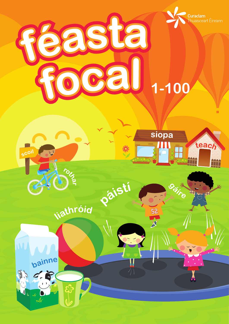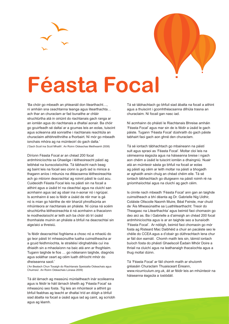

# **Féasta Focal**

'Ba chóir go mbeadh an phleanáil don litearthacht…, ní amháin sna ceachtanna teanga agus litearthachta… ach thar an churaclam ar fad bunaithe ar chláir struchtúrtha atá in oiriúint do riachtanais gach ranga ar an iomlán agus do riachtanais a dhaltaí aonair. Ba chóir go gcuirfeadh sé daltaí ar a gcumas leis an eolas, tuiscint agus scileanna atá sonraithe i riachtanais reachtúla an churaclaim athbhreithnithe a fhorbairt. Ní mór go mbeadh ionchais mhóra ag na múinteoirí do gach dalta.' ('Gach Scoil ina Scoil Mhaith'. An Roinn Oideachas Meitheamh 2008)

Contents

Díríonn Féasta Focal ar an chéad 200 focal ardmhinicíochta sa Ghaeilge i léitheoireacht páistí ag leibhéal na bunscolaíochta. Tá tábhacht nach beag ag baint leis na focail seo cionn is gurb iad is minice a thagann aníos i mbunús na dtéacsanna léitheoireachta ach go mbíonn deacrachtaí ag roinnt páistí le cuid acu. Cuideoidh Féasta Focal leis na páistí sin na focail a aithint agus a úsáid trí na cleachtaí agus na cluichí san acmhainn agus iad ag obair ina n-aonar nó i ngrúpaí. Is acmhainn é seo is féidir a úsáid de réir mar is gá nó is mian go háirithe de réir bharúil phroifisúnta an mhúinteora ar riachtanais an pháiste. Ní cúrsa ná scéim struchtúrtha léitheoireachta é ná acmhainn a thacaíonn le modheolaíocht ar leith ach ba chóir dó trí úsáid thomhaiste muinín an pháiste a bhfuil na deacrachtaí sin aige/aici a threisiú.

'Is féidir deacrachtaí foghlama a chosc nó a mhaolú do go leor páistí trí mheasúnuithe luatha cuimsitheacha ar a gcuid feidhmíochta, le straitéisí idirghabhála cuí ina dhiaidh sin a mhaolaíonn na baic atá ann ar fhoghlaim. Tugann taighde le fios … go ndéanann taighde, diagnóis agus soláthar ceart ag céim luath difríocht mhór do dheiseanna saoil.'

('An Bealach Chun Tosaigh do Riachtanais Speisialta Oideachais agus Chuimsiú'. An Roinn Oideachais Lúnasa 2009)

Tá áit lárnach ag measúnú múnlaitheach inár scoileanna agus is féidir le háit lárnach bheith ag 'Féasta Focal' sa mheasúnú seo fosta. Tig leis an mhúinteoir a aithint go bhfuil feabhas ag teacht ar dhaltaí tríd an dóigh a bhfuil siad ábalta na focail a úsáid agus iad ag caint, ag scríobh agus ag léamh.

Tá sé tábhachtach go bhfuil siad ábalta na focail a aithint agus a thuiscint i gcomhthéacsanna difriúla trasna an churaclaim. Ní focail gan nasc iad.

Ní acmhainn do pháistí le Riachtanais Bhreise amháin 'Féasta Focal' agus mar sin de is féidir a úsáid le gach páiste. Tugann 'Féasta Focal' dúshraith do gach páiste tabhairt faoi gach aon ghné den churaclam.

Tá sé iontach tábhachtach go mbaineann na páistí sult agus spraoi as 'Féasta Focal'. Moltar cloí leis na céimeanna éagsúla agus na háiseanna breise i ngach aon chéim a úsáid le tuiscint iomlán a dhaingniú. Nuair atá an múinteoir sásta go bhfuil na focail ar eolas ag páistí ag céim ar leith moltar na páistí a bhogadh ar aghaidh ansin chuig an chéad chéim eile. Tá sé iontach tábhachtach go dtuigeann na páistí roimh ré na gníomhaíochtaí agus na cluichí ag gach céim.

Is cinnte nach mbeadh 'Féasta Focal' ann gan an taighde cuimsitheach a bhí déanta ag Dr. Gabrielle Nig Uidhir, Coláiste Ollscoile Naomh Muire, Béal Feirste, mar chuid de 'Áis Mheasúnaithe sa Luathlitearthacht: Treoir do Theagasc na Litearthachta' agus beimid faoi chomaoin go deo aici as. Ba í Gabrielle a d'aimsigh an chéad 200 focal ardmhinicíochta agus is ar an taighde seo a bunaíodh 'Féasta Focal'. Ar ndóigh, beimid faoi chomaoin go mór fosta ag Risteard Mac Daibhéid a chuir an pacáiste seo le chéile do CCEA agus a d'obair go dúthrachtach lena chur ar fáil don earnáil. Chomh maith leis sin, táimid iontach buíoch fosta do pháistí Ghaelscoil Éadain Mhóir Doire a thriail na cluichí agus na leathanaigh thacaíochta agus a thug moltaí dúinn.

Tá 'Féasta Focal' ar fáil chomh maith ar shuíomh gréasáin Churaclam Thuaisceart Éireann, www.nicurriculum.org.uk, áit ar féidir leis an mhúinteoir na háiseanna éagsúla a íoslódáil.